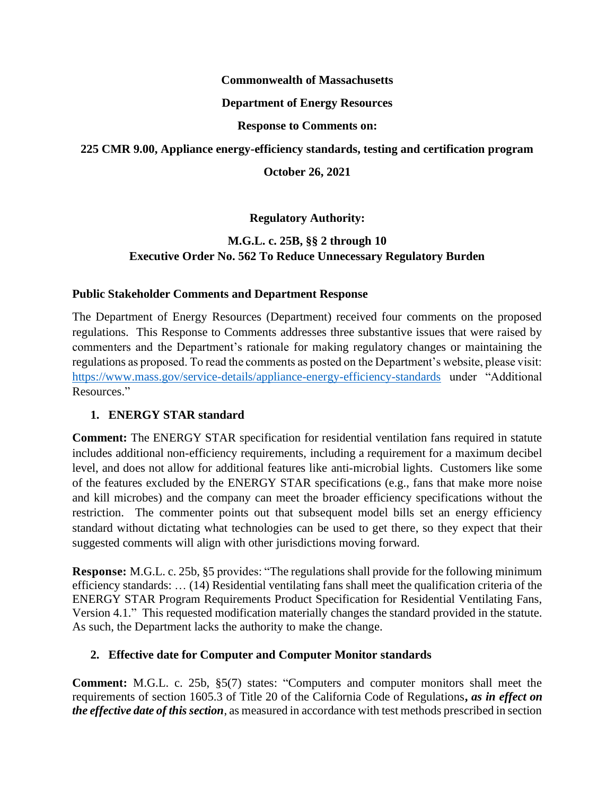#### **Commonwealth of Massachusetts**

### **Department of Energy Resources**

### **Response to Comments on:**

### **225 CMR 9.00, Appliance energy-efficiency standards, testing and certification program**

### **October 26, 2021**

## **Regulatory Authority:**

## **M.G.L. c. 25B, §§ 2 through 10 Executive Order No. 562 To Reduce Unnecessary Regulatory Burden**

### **Public Stakeholder Comments and Department Response**

The Department of Energy Resources (Department) received four comments on the proposed regulations. This Response to Comments addresses three substantive issues that were raised by commenters and the Department's rationale for making regulatory changes or maintaining the regulations as proposed. To read the comments as posted on the Department's website, please visit: <https://www.mass.gov/service-details/appliance-energy-efficiency-standards> under "Additional Resources."

## **1. ENERGY STAR standard**

**Comment:** The ENERGY STAR specification for residential ventilation fans required in statute includes additional non-efficiency requirements, including a requirement for a maximum decibel level, and does not allow for additional features like anti-microbial lights. Customers like some of the features excluded by the ENERGY STAR specifications (e.g., fans that make more noise and kill microbes) and the company can meet the broader efficiency specifications without the restriction. The commenter points out that subsequent model bills set an energy efficiency standard without dictating what technologies can be used to get there, so they expect that their suggested comments will align with other jurisdictions moving forward.

**Response:** M.G.L. c. 25b, §5 provides: "The regulations shall provide for the following minimum efficiency standards: … (14) Residential ventilating fans shall meet the qualification criteria of the ENERGY STAR Program Requirements Product Specification for Residential Ventilating Fans, Version 4.1." This requested modification materially changes the standard provided in the statute. As such, the Department lacks the authority to make the change.

## **2. Effective date for Computer and Computer Monitor standards**

**Comment:** M.G.L. c. 25b, §5(7) states: "Computers and computer monitors shall meet the requirements of section 1605.3 of Title 20 of the California Code of Regulations**,** *as in effect on the effective date of this section*, as measured in accordance with test methods prescribed in section